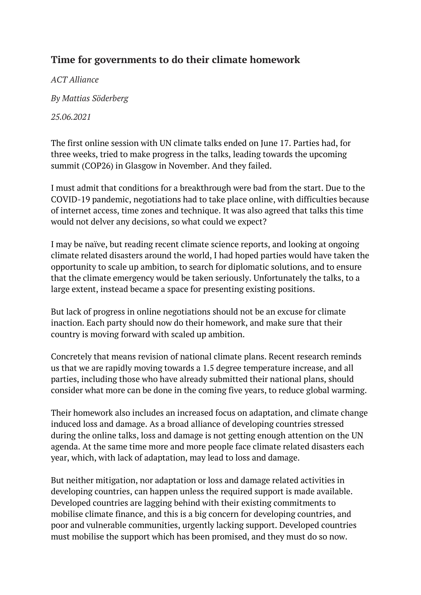## **Time for governments to do their climate homework**

*ACT Alliance*

*By Mattias Söderberg*

*25.06.2021*

The first online session with UN climate talks ended on June 17. Parties had, for three weeks, tried to make progress in the talks, leading towards the upcoming summit (COP26) in Glasgow in November. And they failed.

I must admit that conditions for a breakthrough were bad from the start. Due to the COVID-19 pandemic, negotiations had to take place online, with difficulties because of internet access, time zones and technique. It was also agreed that talks this time would not delver any decisions, so what could we expect?

I may be naïve, but reading recent climate science reports, and looking at ongoing climate related disasters around the world, I had hoped parties would have taken the opportunity to scale up ambition, to search for diplomatic solutions, and to ensure that the climate emergency would be taken seriously. Unfortunately the talks, to a large extent, instead became a space for presenting existing positions.

But lack of progress in online negotiations should not be an excuse for climate inaction. Each party should now do their homework, and make sure that their country is moving forward with scaled up ambition.

Concretely that means revision of national climate plans. Recent research reminds us that we are rapidly moving towards a 1.5 degree temperature increase, and all parties, including those who have already submitted their national plans, should consider what more can be done in the coming five years, to reduce global warming.

Their homework also includes an increased focus on adaptation, and climate change induced loss and damage. As a broad alliance of developing countries stressed during the online talks, loss and damage is not getting enough attention on the UN agenda. At the same time more and more people face climate related disasters each year, which, with lack of adaptation, may lead to loss and damage.

But neither mitigation, nor adaptation or loss and damage related activities in developing countries, can happen unless the required support is made available. Developed countries are lagging behind with their existing commitments to mobilise climate finance, and this is a big concern for developing countries, and poor and vulnerable communities, urgently lacking support. Developed countries must mobilise the support which has been promised, and they must do so now.